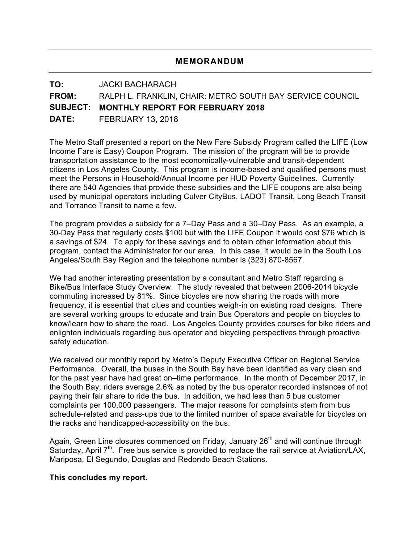### **MEMORANDUM**

# **TO:** JACKI BACHARACH **FROM:** RALPH L. FRANKLIN, CHAIR: METRO SOUTH BAY SERVICE COUNCIL **SUBJECT: MONTHLY REPORT FOR FEBRUARY 2018 DATE:** FEBRUARY 13, 2018

The Metro Staff presented a report on the New Fare Subsidy Program called the LIFE (Low Income Fare is Easy) Coupon Program. The mission of the program will be to provide transportation assistance to the most economically-vulnerable and transit-dependent citizens in Los Angeles County. This program is income-based and qualified persons must meet the Persons in Household/Annual Income per HUD Poverty Guidelines. Currently there are 540 Agencies that provide these subsidies and the LIFE coupons are also being used by municipal operators including Culver CityBus, LADOT Transit, Long Beach Transit and Torrance Transit to name a few.

The program provides a subsidy for a 7–Day Pass and a 30–Day Pass. As an example, a 30-Day Pass that regularly costs \$100 but with the LIFE Coupon it would cost \$76 which is a savings of \$24. To apply for these savings and to obtain other information about this program, contact the Administrator for our area. In this case, it would be in the South Los Angeles/South Bay Region and the telephone number is (323) 870-8567.

We had another interesting presentation by a consultant and Metro Staff regarding a Bike/Bus Interface Study Overview. The study revealed that between 2006-2014 bicycle commuting increased by 81%. Since bicycles are now sharing the roads with more frequency, it is essential that cities and counties weigh-in on existing road designs. There are several working groups to educate and train Bus Operators and people on bicycles to know/learn how to share the road. Los Angeles County provides courses for bike riders and enlighten individuals regarding bus operator and bicycling perspectives through proactive safety education.

We received our monthly report by Metro's Deputy Executive Officer on Regional Service Performance. Overall, the buses in the South Bay have been identified as very clean and for the past year have had great on–time performance. In the month of December 2017, in the South Bay, riders average 2.6% as noted by the bus operator recorded instances of not paying their fair share to ride the bus. In addition, we had less than 5 bus customer complaints per 100,000 passengers. The major reasons for complaints stem from bus schedule-related and pass-ups due to the limited number of space available for bicycles on the racks and handicapped-accessibility on the bus.

Again, Green Line closures commenced on Friday, January 26<sup>th</sup> and will continue through Saturday, April  $7<sup>th</sup>$ . Free bus service is provided to replace the rail service at Aviation/LAX, Mariposa, El Segundo, Douglas and Redondo Beach Stations.

#### **This concludes my report.**